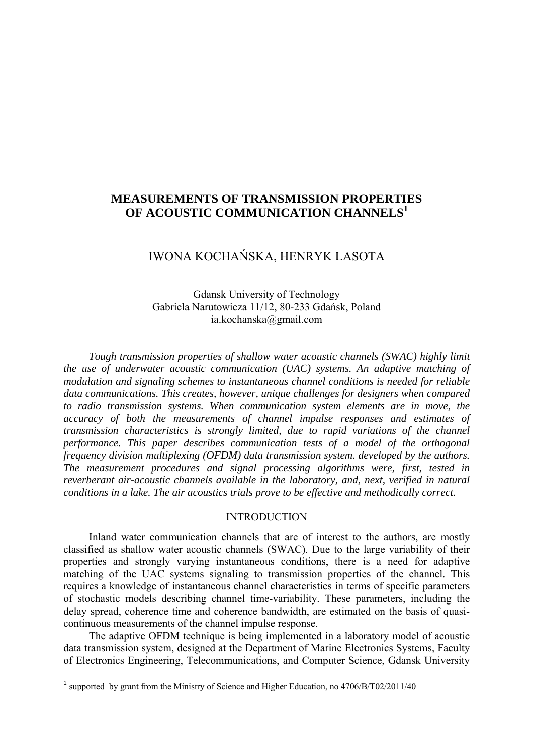## **MEASUREMENTS OF TRANSMISSION PROPERTIES OF ACOUSTIC COMMUNICATION CHANNELS<sup>1</sup>**

# IWONA KOCHAŃSKA, HENRYK LASOTA

Gdansk University of Technology Gabriela Narutowicza 11/12, 80-233 Gdańsk, Poland ia.kochanska@gmail.com

*Tough transmission properties of shallow water acoustic channels (SWAC) highly limit the use of underwater acoustic communication (UAC) systems. An adaptive matching of modulation and signaling schemes to instantaneous channel conditions is needed for reliable data communications. This creates, however, unique challenges for designers when compared to radio transmission systems. When communication system elements are in move, the accuracy of both the measurements of channel impulse responses and estimates of transmission characteristics is strongly limited, due to rapid variations of the channel performance. This paper describes communication tests of a model of the orthogonal frequency division multiplexing (OFDM) data transmission system. developed by the authors. The measurement procedures and signal processing algorithms were, first, tested in reverberant air-acoustic channels available in the laboratory, and, next, verified in natural conditions in a lake. The air acoustics trials prove to be effective and methodically correct.* 

#### INTRODUCTION

Inland water communication channels that are of interest to the authors, are mostly classified as shallow water acoustic channels (SWAC). Due to the large variability of their properties and strongly varying instantaneous conditions, there is a need for adaptive matching of the UAC systems signaling to transmission properties of the channel. This requires a knowledge of instantaneous channel characteristics in terms of specific parameters of stochastic models describing channel time-variability. These parameters, including the delay spread, coherence time and coherence bandwidth, are estimated on the basis of quasicontinuous measurements of the channel impulse response.

The adaptive OFDM technique is being implemented in a laboratory model of acoustic data transmission system, designed at the Department of Marine Electronics Systems, Faculty of Electronics Engineering, Telecommunications, and Computer Science, Gdansk University

<sup>&</sup>lt;sup>1</sup> supported by grant from the Ministry of Science and Higher Education, no  $4706/B/T02/2011/40$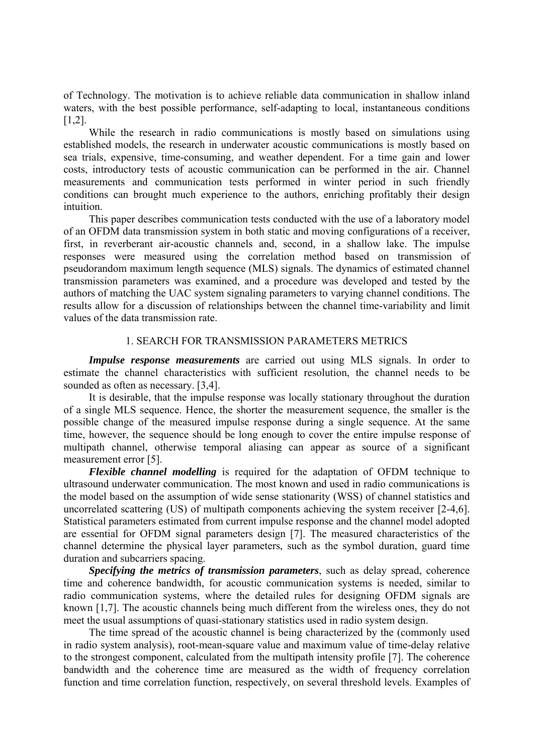of Technology. The motivation is to achieve reliable data communication in shallow inland waters, with the best possible performance, self-adapting to local, instantaneous conditions [1,2].

While the research in radio communications is mostly based on simulations using established models, the research in underwater acoustic communications is mostly based on sea trials, expensive, time-consuming, and weather dependent. For a time gain and lower costs, introductory tests of acoustic communication can be performed in the air. Channel measurements and communication tests performed in winter period in such friendly conditions can brought much experience to the authors, enriching profitably their design intuition.

This paper describes communication tests conducted with the use of a laboratory model of an OFDM data transmission system in both static and moving configurations of a receiver, first, in reverberant air-acoustic channels and, second, in a shallow lake. The impulse responses were measured using the correlation method based on transmission of pseudorandom maximum length sequence (MLS) signals. The dynamics of estimated channel transmission parameters was examined, and a procedure was developed and tested by the authors of matching the UAC system signaling parameters to varying channel conditions. The results allow for a discussion of relationships between the channel time-variability and limit values of the data transmission rate.

#### 1. SEARCH FOR TRANSMISSION PARAMETERS METRICS

*Impulse response measurements* are carried out using MLS signals. In order to estimate the channel characteristics with sufficient resolution, the channel needs to be sounded as often as necessary. [3,4].

It is desirable, that the impulse response was locally stationary throughout the duration of a single MLS sequence. Hence, the shorter the measurement sequence, the smaller is the possible change of the measured impulse response during a single sequence. At the same time, however, the sequence should be long enough to cover the entire impulse response of multipath channel, otherwise temporal aliasing can appear as source of a significant measurement error [5].

*Flexible channel modelling* is required for the adaptation of OFDM technique to ultrasound underwater communication. The most known and used in radio communications is the model based on the assumption of wide sense stationarity (WSS) of channel statistics and uncorrelated scattering (US) of multipath components achieving the system receiver [2-4,6]. Statistical parameters estimated from current impulse response and the channel model adopted are essential for OFDM signal parameters design [7]. The measured characteristics of the channel determine the physical layer parameters, such as the symbol duration, guard time duration and subcarriers spacing.

*Specifying the metrics of transmission parameters*, such as delay spread, coherence time and coherence bandwidth, for acoustic communication systems is needed, similar to radio communication systems, where the detailed rules for designing OFDM signals are known [1,7]. The acoustic channels being much different from the wireless ones, they do not meet the usual assumptions of quasi-stationary statistics used in radio system design.

The time spread of the acoustic channel is being characterized by the (commonly used in radio system analysis), root-mean-square value and maximum value of time-delay relative to the strongest component, calculated from the multipath intensity profile [7]. The coherence bandwidth and the coherence time are measured as the width of frequency correlation function and time correlation function, respectively, on several threshold levels. Examples of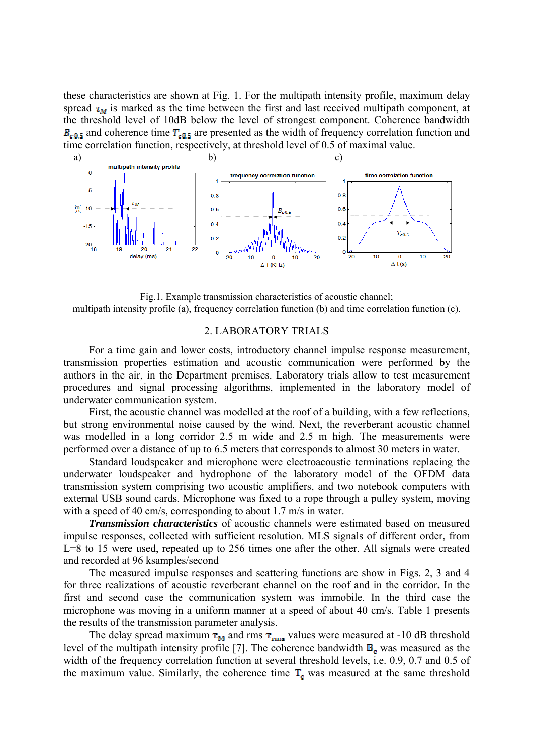these characteristics are shown at Fig. 1. For the multipath intensity profile, maximum delay spread  $\tau_M$  is marked as the time between the first and last received multipath component, at the threshold level of 10dB below the level of strongest component. Coherence bandwidth  $B_{\text{crit}}$  and coherence time  $T_{\text{crit}}$  are presented as the width of frequency correlation function and time correlation function, respectively, at threshold level of 0.5 of maximal value.



Fig.1. Example transmission characteristics of acoustic channel; multipath intensity profile (a), frequency correlation function (b) and time correlation function (c).

#### 2. LABORATORY TRIALS

For a time gain and lower costs, introductory channel impulse response measurement, transmission properties estimation and acoustic communication were performed by the authors in the air, in the Department premises. Laboratory trials allow to test measurement procedures and signal processing algorithms, implemented in the laboratory model of underwater communication system.

First, the acoustic channel was modelled at the roof of a building, with a few reflections, but strong environmental noise caused by the wind. Next, the reverberant acoustic channel was modelled in a long corridor 2.5 m wide and 2.5 m high. The measurements were performed over a distance of up to 6.5 meters that corresponds to almost 30 meters in water.

Standard loudspeaker and microphone were electroacoustic terminations replacing the underwater loudspeaker and hydrophone of the laboratory model of the OFDM data transmission system comprising two acoustic amplifiers, and two notebook computers with external USB sound cards. Microphone was fixed to a rope through a pulley system, moving with a speed of 40 cm/s, corresponding to about 1.7 m/s in water.

*Transmission characteristics* of acoustic channels were estimated based on measured impulse responses, collected with sufficient resolution. MLS signals of different order, from L=8 to 15 were used, repeated up to 256 times one after the other. All signals were created and recorded at 96 ksamples/second

The measured impulse responses and scattering functions are show in Figs. 2, 3 and 4 for three realizations of acoustic reverberant channel on the roof and in the corridor**.** In the first and second case the communication system was immobile. In the third case the microphone was moving in a uniform manner at a speed of about 40 cm/s. Table 1 presents the results of the transmission parameter analysis.

The delay spread maximum  $\tau_M$  and rms  $\tau_{\text{rms}}$  values were measured at -10 dB threshold level of the multipath intensity profile [7]. The coherence bandwidth  $B<sub>c</sub>$  was measured as the width of the frequency correlation function at several threshold levels, i.e. 0.9, 0.7 and 0.5 of the maximum value. Similarly, the coherence time  $T_c$  was measured at the same threshold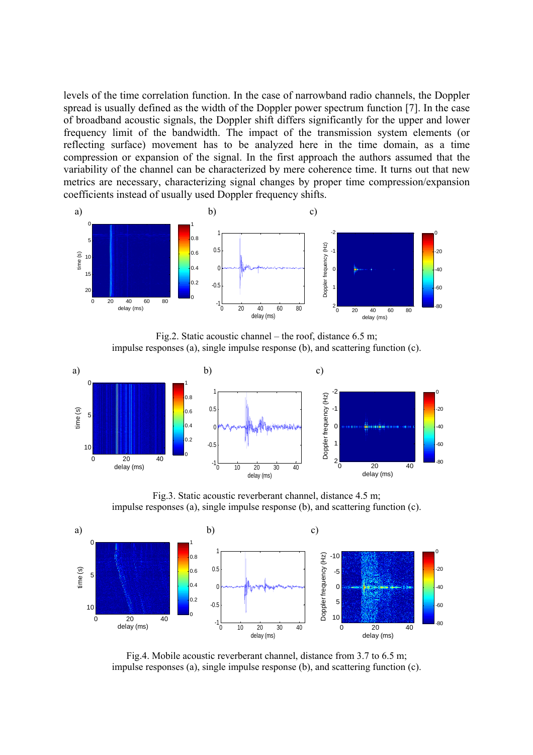levels of the time correlation function. In the case of narrowband radio channels, the Doppler spread is usually defined as the width of the Doppler power spectrum function [7]. In the case of broadband acoustic signals, the Doppler shift differs significantly for the upper and lower frequency limit of the bandwidth. The impact of the transmission system elements (or reflecting surface) movement has to be analyzed here in the time domain, as a time compression or expansion of the signal. In the first approach the authors assumed that the variability of the channel can be characterized by mere coherence time. It turns out that new metrics are necessary, characterizing signal changes by proper time compression/expansion coefficients instead of usually used Doppler frequency shifts.



Fig.2. Static acoustic channel – the roof, distance 6.5 m; impulse responses (a), single impulse response (b), and scattering function (c).



Fig.3. Static acoustic reverberant channel, distance 4.5 m; impulse responses (a), single impulse response (b), and scattering function (c).



Fig.4. Mobile acoustic reverberant channel, distance from 3.7 to 6.5 m; impulse responses (a), single impulse response (b), and scattering function (c).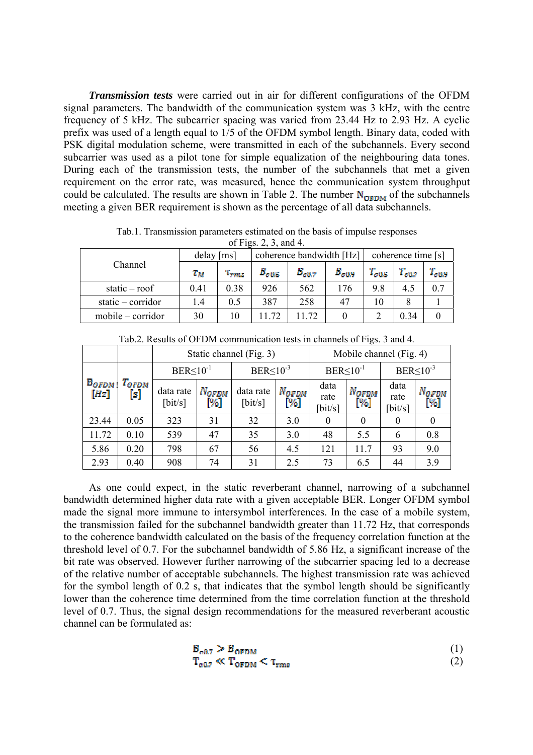*Transmission tests* were carried out in air for different configurations of the OFDM signal parameters. The bandwidth of the communication system was 3 kHz, with the centre frequency of 5 kHz. The subcarrier spacing was varied from 23.44 Hz to 2.93 Hz. A cyclic prefix was used of a length equal to 1/5 of the OFDM symbol length. Binary data, coded with PSK digital modulation scheme, were transmitted in each of the subchannels. Every second subcarrier was used as a pilot tone for simple equalization of the neighbouring data tones. During each of the transmission tests, the number of the subchannels that met a given requirement on the error rate, was measured, hence the communication system throughput could be calculated. The results are shown in Table 2. The number  $N_{\text{OFDM}}$  of the subchannels meeting a given BER requirement is shown as the percentage of all data subchannels.

| $U_1$ 1 igo. $\angle$ , $\angle$ , ally $\pi$ . |              |              |                |                          |                    |                |            |                |  |
|-------------------------------------------------|--------------|--------------|----------------|--------------------------|--------------------|----------------|------------|----------------|--|
|                                                 | $delay$ [ms] |              |                | coherence bandwidth [Hz] | coherence time [s] |                |            |                |  |
| Channel                                         | $T_{M}$      | $\tau_{rms}$ | $B_{\rm c0.5}$ | $B_{c0.7}$               | $B_{\alpha 0.9}$   | $T_{\rm c0.5}$ | $T_{c0.7}$ | $T_{\rm c0.9}$ |  |
| static $-$ roof                                 | 0.41         | 0.38         | 926            | 562                      | 176                | 9.8            | 4.5        | 0.7            |  |
| static $-$ corridor                             | 1.4          | 0.5          | 387            | 258                      | 47                 | 10             |            |                |  |
| $mobile-corridor$                               | 30           | 10           | 11.72          | 1.72                     |                    |                | 0.34       |                |  |

Tab.1. Transmission parameters estimated on the basis of impulse responses of Figs.  $2, 3, \text{ and } 4$ .

| $140.2$ . Investites of OTDIVI communication tests in channels of Figs. 5 and $\pm$ . |                   |                               |                         |                               |                      |                                  |                      |                                  |                             |  |
|---------------------------------------------------------------------------------------|-------------------|-------------------------------|-------------------------|-------------------------------|----------------------|----------------------------------|----------------------|----------------------------------|-----------------------------|--|
|                                                                                       |                   | Static channel (Fig. 3)       | Mobile channel (Fig. 4) |                               |                      |                                  |                      |                                  |                             |  |
| $B_{OPDM}$<br>[Hz]                                                                    | $T_{OFDM}$<br>[s] | $BER<10^{-1}$                 |                         | $BER \le 10^{-3}$             |                      | $BER \leq 10^{-1}$               |                      | $BER \leq 10^{-3}$               |                             |  |
|                                                                                       |                   | data rate<br>$[\text{bit/s}]$ | <b>NOFDM</b><br>1%]     | data rate<br>$[\text{bit/s}]$ | $N_{OFDM}$<br>$[\%]$ | data<br>rate<br>$[\text{bit/s}]$ | $N_{OFDM}$<br>$[\%]$ | data<br>rate<br>$[\text{bit/s}]$ | N <sub>OFDM</sub><br>$[\%]$ |  |
| 23.44                                                                                 | 0.05              | 323                           | 31                      | 32                            | 3.0                  | $\Omega$                         | $\theta$             | $\theta$                         |                             |  |
| 11.72                                                                                 | 0.10              | 539                           | 47                      | 35                            | 3.0                  | 48                               | 5.5                  | 6                                | 0.8                         |  |
| 5.86                                                                                  | 0.20              | 798                           | 67                      | 56                            | 4.5                  | 121                              | 11.7                 | 93                               | 9.0                         |  |
| 2.93                                                                                  | 0.40              | 908                           | 74                      | 31                            | 2.5                  | 73                               | 6.5                  | 44                               | 3.9                         |  |

Tab.2. Results of OFDM communication tests in channels of Figs. 3 and 4.

As one could expect, in the static reverberant channel, narrowing of a subchannel bandwidth determined higher data rate with a given acceptable BER. Longer OFDM symbol made the signal more immune to intersymbol interferences. In the case of a mobile system, the transmission failed for the subchannel bandwidth greater than 11.72 Hz, that corresponds to the coherence bandwidth calculated on the basis of the frequency correlation function at the threshold level of 0.7. For the subchannel bandwidth of 5.86 Hz, a significant increase of the bit rate was observed. However further narrowing of the subcarrier spacing led to a decrease of the relative number of acceptable subchannels. The highest transmission rate was achieved for the symbol length of 0.2 s, that indicates that the symbol length should be significantly lower than the coherence time determined from the time correlation function at the threshold level of 0.7. Thus, the signal design recommendations for the measured reverberant acoustic channel can be formulated as:

$$
\mathbf{B}_{\text{c0.7}} > \mathbf{B}_{\text{OFDM}} \tag{1}
$$
\n
$$
\mathbf{T}_{\text{c0.7}} \ll \mathbf{T}_{\text{OFDM}} < \tau_{\text{rms}} \tag{2}
$$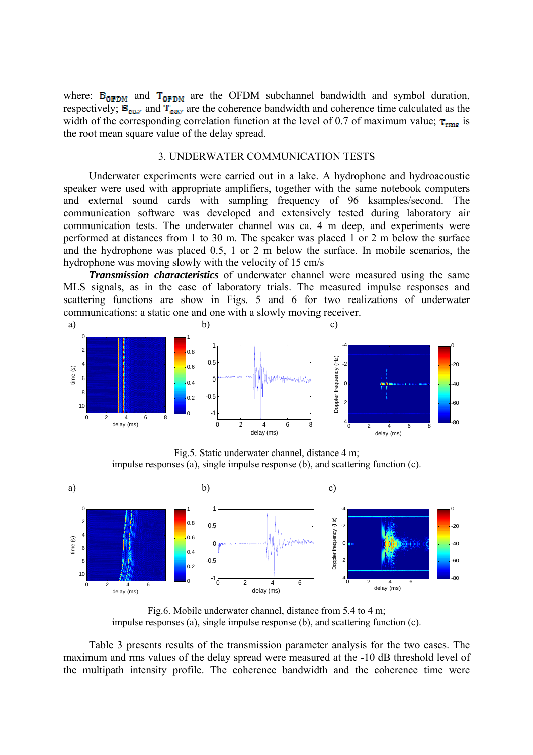where:  $B_{OFDM}$  and  $T_{OFDM}$  are the OFDM subchannel bandwidth and symbol duration, respectively;  $B_{\text{cur}}$  and  $T_{\text{cur}}$  are the coherence bandwidth and coherence time calculated as the width of the corresponding correlation function at the level of 0.7 of maximum value;  $\tau_{rms}$  is the root mean square value of the delay spread.

### 3. UNDERWATER COMMUNICATION TESTS

Underwater experiments were carried out in a lake. A hydrophone and hydroacoustic speaker were used with appropriate amplifiers, together with the same notebook computers and external sound cards with sampling frequency of 96 ksamples/second. The communication software was developed and extensively tested during laboratory air communication tests. The underwater channel was ca. 4 m deep, and experiments were performed at distances from 1 to 30 m. The speaker was placed 1 or 2 m below the surface and the hydrophone was placed 0.5, 1 or 2 m below the surface. In mobile scenarios, the hydrophone was moving slowly with the velocity of 15 cm/s

*Transmission characteristics* of underwater channel were measured using the same MLS signals, as in the case of laboratory trials. The measured impulse responses and scattering functions are show in Figs. 5 and 6 for two realizations of underwater communications: a static one and one with a slowly moving receiver.



Fig.5. Static underwater channel, distance 4 m; impulse responses (a), single impulse response (b), and scattering function (c).



Fig.6. Mobile underwater channel, distance from 5.4 to 4 m; impulse responses (a), single impulse response (b), and scattering function (c).

Table 3 presents results of the transmission parameter analysis for the two cases. The maximum and rms values of the delay spread were measured at the -10 dB threshold level of the multipath intensity profile. The coherence bandwidth and the coherence time were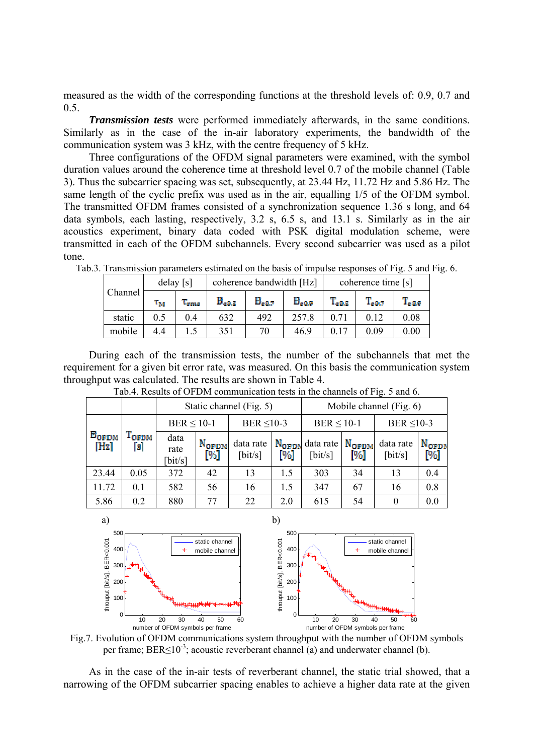measured as the width of the corresponding functions at the threshold levels of: 0.9, 0.7 and 0.5.

*Transmission tests* were performed immediately afterwards, in the same conditions. Similarly as in the case of the in-air laboratory experiments, the bandwidth of the communication system was 3 kHz, with the centre frequency of 5 kHz.

Three configurations of the OFDM signal parameters were examined, with the symbol duration values around the coherence time at threshold level 0.7 of the mobile channel (Table 3). Thus the subcarrier spacing was set, subsequently, at 23.44 Hz, 11.72 Hz and 5.86 Hz. The same length of the cyclic prefix was used as in the air, equalling 1/5 of the OFDM symbol. The transmitted OFDM frames consisted of a synchronization sequence 1.36 s long, and 64 data symbols, each lasting, respectively, 3.2 s, 6.5 s, and 13.1 s. Similarly as in the air acoustics experiment, binary data coded with PSK digital modulation scheme, were transmitted in each of the OFDM subchannels. Every second subcarrier was used as a pilot tone.

| Channel | $delay$ [s] |                |                        | coherence bandwidth [Hz]  |                  | coherence time [s] |                |                  |  |
|---------|-------------|----------------|------------------------|---------------------------|------------------|--------------------|----------------|------------------|--|
|         | Ŧм          | 'Urrezo        | ${\bf B}_{\alpha 0.5}$ | $\mathbf{B}_{\alpha 0.7}$ | $B_{\alpha 0.9}$ | $T_{\alpha 0.5}$   | $\rm T_{60.7}$ | $T_{\alpha 0.9}$ |  |
| static  | 0.5         | 0 <sub>4</sub> | 632                    | 492                       | 257.8            | 0.71               | 0.12           | 0.08             |  |
| mobile  | 4.4         |                | 351                    | 70                        | 46.9             |                    | 0.09           | 0.00             |  |

Tab.3. Transmission parameters estimated on the basis of impulse responses of Fig. 5 and Fig. 6.

During each of the transmission tests, the number of the subchannels that met the requirement for a given bit error rate, was measured. On this basis the communication system throughput was calculated. The results are shown in Table 4.

|                                                                    |                   |                        |                                                     | Static channel (Fig. 5)       |     | Mobile channel (Fig. 6)                                    |                          |                               |                       |  |
|--------------------------------------------------------------------|-------------------|------------------------|-----------------------------------------------------|-------------------------------|-----|------------------------------------------------------------|--------------------------|-------------------------------|-----------------------|--|
| $B_{OFDM}$<br>$\left\lceil \frac{\ln x}{\ln x} \right\rceil$<br>БI |                   | $BER \leq 10-1$        |                                                     | BER $\leq 10-3$               |     | $BER \leq 10-1$                                            |                          | BER $\leq 10-3$               |                       |  |
|                                                                    | <sup>T</sup> ofdm | data<br>rate<br>bit/s] | N <sub>OFDM</sub><br>$\llbracket \psi_0 \rrbracket$ | data rate<br>$[\text{bit/s}]$ | [%] | $N_{\text{OPDN}}$ data rate<br>$\left[\text{bit/s}\right]$ | N <sub>OFDM</sub><br>[%] | data rate<br>$[\text{bit/s}]$ | <b>NoFD</b><br>$[\%]$ |  |
| 23.44                                                              | 0.05              | 372                    | 42                                                  | 13                            | 1.5 | 303                                                        | 34                       | 13                            | 0.4                   |  |
| 11.72                                                              | 0.1               | 582                    | 56                                                  | 16                            | 1.5 | 347                                                        | 67                       | 16                            | 0.8                   |  |
| 5.86                                                               | 0.2               | 880                    | 77                                                  | 22                            | 2.0 | 615                                                        | 54                       | 0                             | 0.0                   |  |

Tab.4. Results of OFDM communication tests in the channels of Fig. 5 and 6.



Fig.7. Evolution of OFDM communications system throughput with the number of OFDM symbols per frame;  $BER \le 10^{-3}$ ; acoustic reverberant channel (a) and underwater channel (b).

As in the case of the in-air tests of reverberant channel, the static trial showed, that a narrowing of the OFDM subcarrier spacing enables to achieve a higher data rate at the given